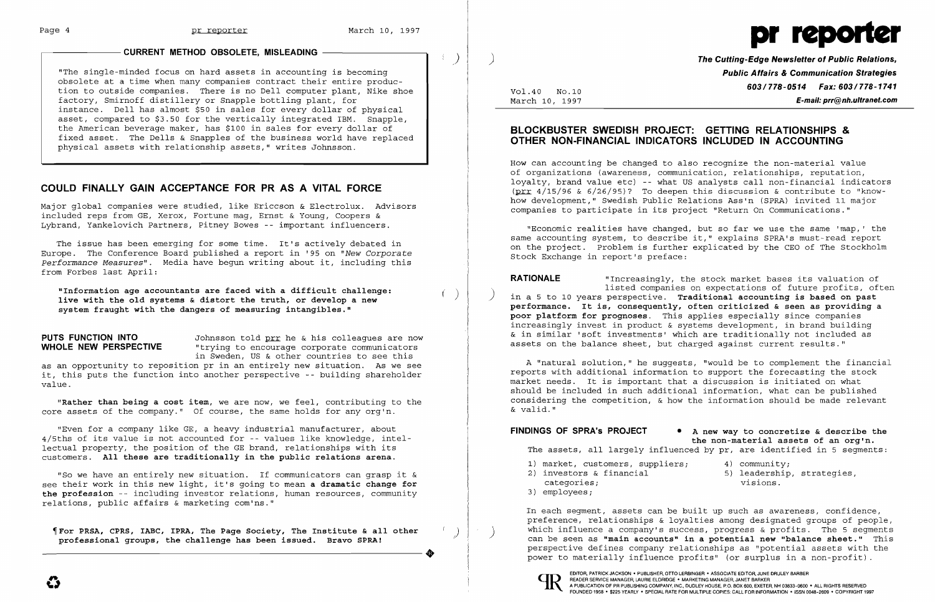$\left( \begin{array}{c} \end{array} \right)$ 

 $\left( \begin{array}{c} \end{array} \right)$ 

"The single-minded focus on hard assets in accounting is becoming obsolete at a time when many companies contract their entire production to outside companies. There is no Dell computer plant, Nike shoe factory, Smirnoff distillery or Snapple bottling plant, for instance. Dell has almost \$50 in sales for every dollar of physical asset, compared to \$3.50 for the vertically integrated IBM. Snapple, the American beverage maker, has \$100 in sales for every dollar of fixed asset. The Dells & Snapples of the business world have replaced physical assets with relationship assets," writes Johnsson.

## **COULD FINALLY GAIN ACCEPTANCE FOR PR AS A VITAL FORCE**

**PUTS FUNCTION INTO** Johnsson told pri he & his colleagues are now<br>**WHOLE NEW PERSPECTIVE** "trying to encourage corporate communicators "trying to encourage corporate communicators in Sweden, US & other countries to see this

Major global companies were studied, like Ericcson & Electrolux. Advisors included reps from GE, Xerox, Fortune mag, Ernst & Young, Coopers & Lybrand, Yankelovich Partners, Pitney Bowes -- important influencers.

The issue has been emerging for some time. It's actively debated in Europe. The Conference Board published a report in '95 on *"New Corporate Performance Measures".* Media have begun writing about it, including this from Forbes last April:

For PRSA, CPRS, IABC, IPRA, The Page Society, The Institute & all other (professional groups, the challenge has been issued. Bravo SPRA! **professional groups, the challenge has been issued. Bravo SPRAI** 

**"Information age accountants are faced with a difficult challenge: live with the old systems & distort the truth, or develop a new system fraught with the dangers of measuring intangibles."** 

as an opportunity to reposition pr in an entirely new situation. As we see it, this puts the function into another perspective -- building shareholder value.

**"Rather than being a cost item,** we are now, we feel, contributing to the core assets of the company." Of course, the same holds for any org'n.

"Even for a company like GE, a heavy industrial manufacturer, about 4/5ths of its value is not accounted for -- values like knowledge, intellectual property, the position of the GE brand, relationships with its customers. **All these are traditionally in the public relations arena.** 

**RATIONALE** "Increasingly, the stock market bases its valuation of<br>listed companies on expectations of future profits, often in a 5 to 10 years perspective. **Traditional accounting is based on past performance. It is, consequently, often criticized & seen as providing a poor platform for prognoses.** This applies especially since companies increasingly invest in product & systems development, in brand building & in similar 'soft investments' which are traditionally not included as assets on the balance sheet, but charged against current results."

**FINDINGS OF SPRA's PROJECT • A new way to concretize & describe the the non-material assets of an org'n.**  The assets, all largely influenced by pr, are identified in 5 segments:

"So we have an entirely new situation. If communicators can grasp it & see their work in this new light, it's going to mean **a dramatic change for**  the profession -- including investor relations, human resources, community relations, public affairs & marketing com'ns."

- 1) market, customers, suppliers; 4) community;<br>2) investors & financial (5) leadership
- 
- categories;
- 3} employees;



) **The Cutting-Edge Newsletter of Public Relations, Public Affairs & Communication Strategies 603/778-0514 Fax: 603/778-1741** Vo1.40 No.10 March 10, 1997 **E-mail: prr@nh.ultranet.com** 

- 
- 5) leadership, strategies,<br>visions.

# **BLOCKBUSTER SWEDISH PROJECT: GETTING RELATIONSHIPS & OTHER NON-FINANCIAL INDICATORS INCLUDED IN ACCOUNTING**

How can accounting be changed to also recognize the non-material value of organizations (awareness, communication, relationships, reputation, loyalty, brand value etc) -- what US analysts call non-financial indicators (prr  $4/15/96$  &  $6/26/95$ )? To deepen this discussion & contribute to "knowhow development," Swedish Public Relations Ass'n (SPRA) invited 11 major companies to participate in its project "Return On Communications."

"Economic realities have changed, but so far we use the same 'map,' the same accounting system, to describe it," explains SPRA's must-read report on the project. Problem is further explicated by the CEO of The Stockholm Stock Exchange in report's preface:

A "natural solution," he suggests, "would be to complement the financial reports with additional information to support the forecasting the stock market needs. It is important that a discussion is initiated on what should be included in such additional information, what can be published considering the competition, & how the information should be made relevant & valid."

In each segment, assets can be built up such as awareness, confidence, preference, relationships & loyalties among designated groups of people, which influence a company's success, progress & profits. The 5 segments (an be seen as **"main accounts" in a potential new "balance sheet."** This perspective defines company relationships as "potential assets with the power to materially influence profits" (or surplus in a non-profit)



)

### **CURRENT METHOD OBSOLETE, MISLEADING —**